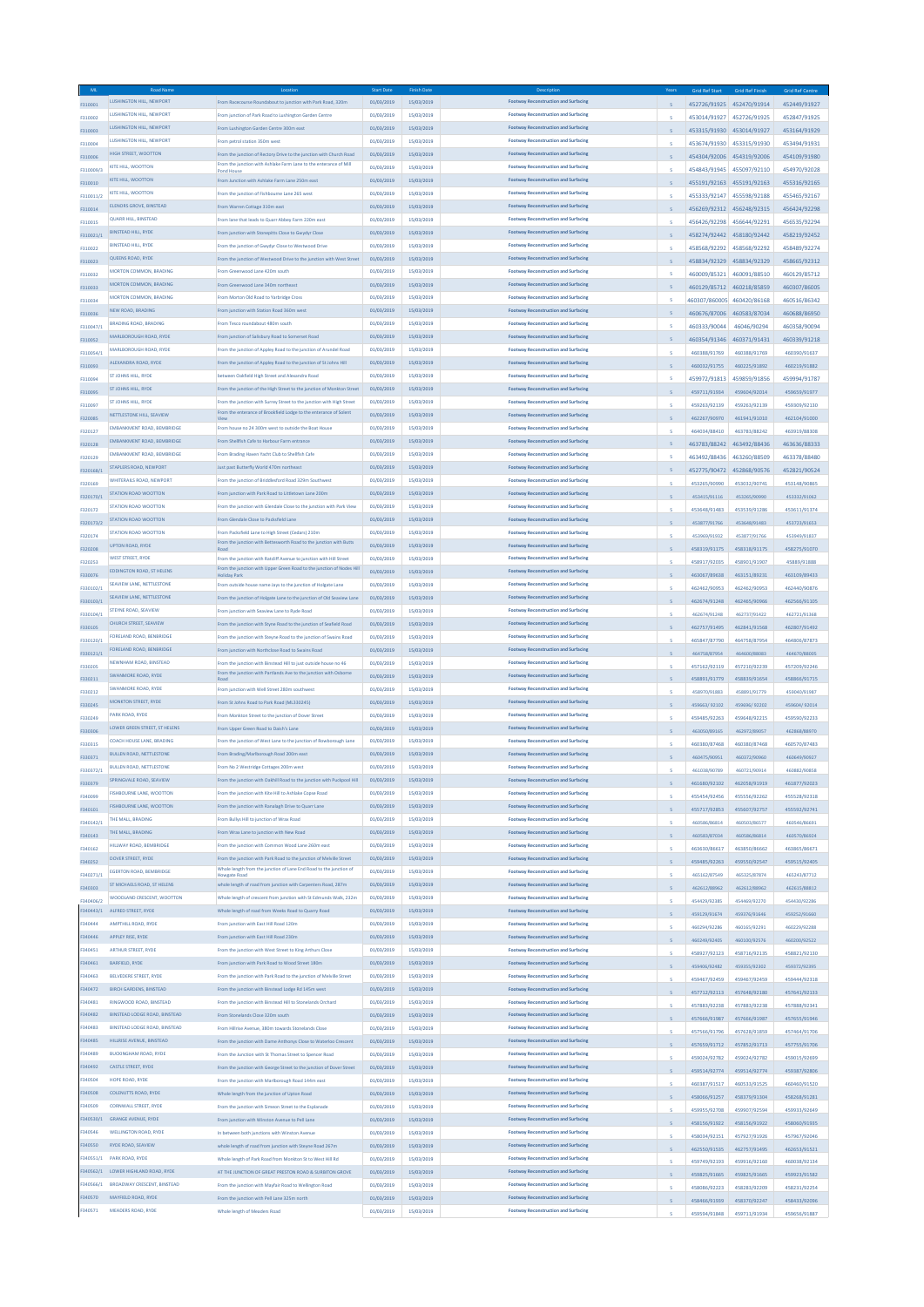| <b>ML</b>              |                                      |                                                                                                                                        | <b>Start Dat</b> | <b>Finish Date</b> |                                             |   | <b>Grid Ref Start</b>      | <b>Grid Ref Finish</b>    | <b>Grid Ref Centre</b> |
|------------------------|--------------------------------------|----------------------------------------------------------------------------------------------------------------------------------------|------------------|--------------------|---------------------------------------------|---|----------------------------|---------------------------|------------------------|
| F310001                | <b>LUSHINGTON HILL NEWPORT</b>       | From Racecourse Roundabout to junction with Park Road, 320m                                                                            | 01/03/2019       | 15/03/2019         | <b>Footway Reconstruction and Surfacing</b> |   |                            | 452726/91925 452470/91914 | 452449/91927           |
| F310002                | <b>LUSHINGTON HILL, NEWPORT</b>      | From junction of Park Road to Lushington Garden Centre                                                                                 | 01/03/2019       | 15/03/2019         | <b>Footway Reconstruction and Surfacing</b> |   | 453014/91927 452726/91925  |                           | 452847/91925           |
| F310003                | LUSHINGTON HILL, NEWPORT             | From Lushington Garden Centre 300m east                                                                                                | 01/03/2019       | 15/03/2019         | <b>Footway Reconstruction and Surfacing</b> |   |                            | 453315/91930 453014/91927 | 453164/91929           |
|                        | LUSHINGTON HILL, NEWPORT             | From petrol station 350m west                                                                                                          | 01/03/2019       | 15/03/2019         | <b>Footway Reconstruction and Surfacing</b> |   |                            |                           |                        |
| F310004                |                                      |                                                                                                                                        |                  |                    |                                             |   |                            | 453674/91930 453315/91930 | 453494/91931           |
| F310006                | HIGH STREET, WOOTTON                 | From the junction of Rectory Drive to the junction with Church Road<br>From the junction with Ashlake Farm Lane to the enterance of Mi | 01/03/2019       | 15/03/2019         | <b>Footway Reconstruction and Surfacing</b> |   |                            | 454304/92006 454319/92006 | 454109/91980           |
| F310009/3              | KITE HILL, WOOTTON                   | Pond Hous                                                                                                                              | 01/03/2019       | 15/03/2019         | <b>Footway Reconstruction and Surfacing</b> |   | 454843/91945 455097/92110  |                           | 454970/92028           |
| F310010                | KITE HILL, WOOTTON                   | From Junction with Ashlake Farm Lane 250m east                                                                                         | 01/03/2019       | 15/03/2019         | <b>Footway Reconstruction and Surfacing</b> |   |                            | 455191/92163 455191/92163 | 455316/92165           |
| F310011/2              | <b>KITE HILL WOOTTON</b>             | From the junction of Fishbourne Lane 265 west                                                                                          | 01/03/2019       | 15/03/2019         | <b>Footway Reconstruction and Surfacing</b> |   | 455333/92147               | 455598/92188              | 455465/92167           |
|                        | ELENORS GROVE, BINSTEAD              | From Warren Cottage 310m east                                                                                                          | 01/03/2019       | 15/03/2019         | <b>Footway Reconstruction and Surfacing</b> |   |                            |                           |                        |
| F310014                |                                      |                                                                                                                                        |                  |                    |                                             |   | 456269/92312 456248/92315  |                           | 456424/92298           |
| F310015                | <b>QUARR HILL, BINSTEAD</b>          | From lane that leads to Quarr Abbey Farm 220m east                                                                                     | 01/03/2019       | 15/03/2019         | <b>Footway Reconstruction and Surfacing</b> |   | 456426/92298 456644/92291  |                           | 456535/92294           |
| F310021/1              | <b>BINSTEAD HILL, RYDE</b>           | From junction with Stonepitts Close to Gwydyr Close                                                                                    | 01/03/2019       | 15/03/2019         | <b>Footway Reconstruction and Surfacing</b> |   | 458274/92442 458180/92442  |                           | 458219/92452           |
| F310022                | <b>RINSTEAD HILL RYDE</b>            | From the junction of Gwydyr Close to Westwood Drive                                                                                    | 01/03/2019       | 15/03/2019         | <b>Footway Reconstruction and Surfacing</b> |   | 458568/92292 458568/92292  |                           | 458489/92274           |
|                        | QUEENS ROAD, RYDE                    | From the junction of Westwood Drive to the junction with West Street                                                                   | 01/03/2019       | 15/03/2019         | <b>Footway Reconstruction and Surfacing</b> |   |                            |                           |                        |
| F310023                | MORTON COMMON, BRADING               |                                                                                                                                        |                  |                    | <b>Footway Reconstruction and Surfacing</b> |   |                            | 458834/92329 458834/92329 | 458665/92312           |
| F310032                |                                      | From Greenwood Lane 420m south                                                                                                         | 01/03/2019       | 15/03/2019         |                                             |   |                            | 460009/85321 460091/88510 | 460129/85712           |
| F310033                | MORTON COMMON, BRADING               | From Greenwood Lane 340m northeast                                                                                                     | 01/03/2019       | 15/03/2019         | <b>Footway Reconstruction and Surfacing</b> |   |                            | 460129/85712 460218/85859 | 460307/86005           |
| F310034                | MORTON COMMON, BRADING               | From Morton Old Road to Yarbridge Cross                                                                                                | 01/03/2019       | 15/03/2019         | <b>Footway Reconstruction and Surfacing</b> | × | 460307/860005 460420/86168 |                           | 460516/86342           |
|                        | NEW ROAD, BRADING                    | From junction with Station Road 360m west                                                                                              | 01/03/2019       | 15/03/2019         | <b>Footway Reconstruction and Surfacing</b> |   |                            |                           |                        |
| F310036                | <b>BRADING ROAD, BRADING</b>         |                                                                                                                                        |                  |                    | <b>Footway Reconstruction and Surfacing</b> |   |                            | 460676/87006 460583/87034 | 460688/86950           |
| F310047/1              |                                      | From Tesco roundabout 480m south                                                                                                       | 01/03/2019       | 15/03/2019         |                                             |   | 460333/90044               | 46046/90294               | 460358/90094           |
| F310052                | MARLBOROUGH ROAD, RYDE               | From junction of Salisbury Road to Somerset Road                                                                                       | 01/03/2019       | 15/03/2019         | <b>Footway Reconstruction and Surfacing</b> |   | 460354/91346 460371/91431  |                           | 460339/91218           |
| F310054/1              | MARLBOROUGH ROAD, RYDE               | From the junction of Appley Road to the junction of Arundel Road                                                                       | 01/03/2019       | 15/03/2019         | <b>Footway Reconstruction and Surfacing</b> |   | 460388/91769               | 460388/91769              | 460390/91637           |
|                        | ALEXANDRA ROAD, RYDE                 | From the junction of Appley Road to the junction of St Johns Hill                                                                      | 01/03/2019       | 15/03/2019         | <b>Footway Reconstruction and Surfacing</b> |   |                            |                           |                        |
| F310093                |                                      |                                                                                                                                        |                  |                    |                                             |   | 460032/91755               | 460225/91892              | 460219/91882           |
| F310094                | ST JOHNS HILL, RYDE                  | between Oakfield High Street and Alexandra Road                                                                                        | 01/03/2019       | 15/03/2019         | <b>Footway Reconstruction and Surfacing</b> |   | 459972/91813 459859/91856  |                           | 459994/91787           |
| F310095                | ST JOHNS HILL, RYDE                  | From the junction of the High Street to the junction of Monkton Street                                                                 | 01/03/2019       | 15/03/2019         | <b>Footway Reconstruction and Surfacing</b> |   | 459711/91934               | 459604/92014              | 459659/91977           |
| F310097                | ST JOHNS HILL, RYDE                  | From the junction with Surrey Street to the junction with High Street                                                                  | 01/03/2019       | 15/03/2019         | <b>Footway Reconstruction and Surfacing</b> |   | 459263/92139               | 459263/92139              | 459309/92130           |
|                        | NETTLESTONE HILL, SEAVIEW            | From the enterance of Brookfield Lodge to the enterance of Solent                                                                      | 01/03/2019       | 15/03/2019         | <b>Footway Reconstruction and Surfacing</b> |   |                            |                           |                        |
| F320085                |                                      |                                                                                                                                        |                  |                    |                                             |   | 462267/90970               | 461941/91010              | 462104/91000           |
| F320127                | EMBANKMENT ROAD, BEMBRIDGE           | From house on 24.300m west to outside the Roat House                                                                                   | 01/03/2019       | 15/03/2019         | <b>Footway Reconstruction and Surfacing</b> |   | 464034/88410               | 463783/88242              | 463919/88308           |
| F320128                | EMBANKMENT ROAD, BEMBRIDGE           | From Shellfish Cafe to Harbour Farm entrance                                                                                           | 01/03/2019       | 15/03/2019         | <b>Footway Reconstruction and Surfacing</b> |   |                            | 463783/88242 463492/88436 | 463636/88333           |
| F320129                | EMBANKMENT ROAD, BEMBRIDGE           | From Brading Haven Yacht Club to Shellfish Cafe                                                                                        | 01/03/2019       | 15/03/2019         | <b>Footway Reconstruction and Surfacing</b> |   | 463492/88436               | 463260/88509              | 463378/88480           |
|                        | STAPLERS ROAD, NEWPORT               | Just past Butterfly World 470m northeast                                                                                               | 01/03/2019       | 15/03/2019         | Footway Reconstruction and Surfacing        |   |                            |                           |                        |
| F320168/1              | WHITERAILS ROAD, NEWPORT             | From the junction of Briddlesford Road 329m Southwest                                                                                  | 01/03/2019       | 15/03/2019         | <b>Footway Reconstruction and Surfacing</b> |   |                            | 452775/90472 452868/90576 | 452821/90524           |
| F320169                |                                      |                                                                                                                                        |                  |                    |                                             |   | 453265/90990               | 453032/90741              | 453148/90865           |
| F320170/1              | STATION ROAD WOOTTON                 | From junction with Park Road to Littletown Lane 200m                                                                                   | 01/03/2019       | 15/03/2019         | <b>Footway Reconstruction and Surfacing</b> |   | 453415/91116               | 453265/90990              | 453332/91062           |
| F320172                | STATION ROAD WOOTTON                 | From the junction with Glendale Close to the junction with Park View                                                                   | 01/03/2019       | 15/03/2019         | <b>Footway Reconstruction and Surfacing</b> |   | 453648/91483               | 453539/91286              | 453611/91374           |
|                        | STATION ROAD WOOTTON                 | From Glendale Close to Packsfield Lane                                                                                                 | 01/03/2019       | 15/03/2019         | <b>Footway Reconstruction and Surfacing</b> |   |                            |                           |                        |
| F320173/2              | STATION ROAD WOOTTON                 |                                                                                                                                        |                  | 15/03/2019         | <b>Footway Reconstruction and Surfacing</b> |   | 453877/91766               | 453648/91483              | 453723/91653           |
| F320174                |                                      | From Packsfield Lane to High Street (Cedars) 210m<br>From the junction with Bettesworth Road to the junction with Butts                | 01/03/2019       |                    |                                             |   | 453969/91932               | 453877/91766              | 453949/91837           |
| F320208                | UPTON ROAD, RYDE                     |                                                                                                                                        | 01/03/2019       | 15/03/2019         | <b>Footway Reconstruction and Surfacing</b> |   | 458319/91175               | 458318/91175              | 458275/91070           |
| F320253                | <b>WEST STREET, RYDE</b>             | From the junction with Ratcliff Avenue to junction with Hill Street                                                                    | 01/03/2019       | 15/03/2019         | <b>Footway Reconstruction and Surfacing</b> |   | 458917/92035               | 458901/91907              | 45889/91888            |
|                        | <b>EDDINGTON ROAD, ST HELENS</b>     | From the junction with Upper Green Road to the junction of Nodes Hill                                                                  | 01/03/2019       | 15/03/2019         | <b>Footway Reconstruction and Surfacing</b> |   |                            |                           |                        |
| F330076                |                                      | <b>Holiday Park</b>                                                                                                                    |                  |                    |                                             |   | 463067/89638               | 463151/89231              | 463109/89433           |
| F330102/1              | SEAVIEW LANE, NETTLESTONE            | From outside house name Jays to the junction of Holgate Lane                                                                           | 01/03/2019       | 15/03/2019         | <b>Footway Reconstruction and Surfacing</b> |   | 462462/90953               | 462462/90953              | 462440/90876           |
| F330103/1              | SEAVIEW LANE, NETTLESTONE            | From the junction of Holgate Lane to the junction of Old Seaview Lane                                                                  | 01/03/2019       | 15/03/2019         | <b>Footway Reconstruction and Surfacing</b> |   | 462674/91248               | 462465/90966              | 462566/91105           |
| F330104/1              | STEYNE ROAD, SEAVIEW                 | From junction with Seaview Lane to Ryde Road                                                                                           | 01/03/2019       | 15/03/2019         | <b>Footway Reconstruction and Surfacing</b> |   | 462674/91248               | 462737/91422              | 462721/91368           |
|                        | CHURCH STREET, SEAVIEW               | From the junction with Styne Road to the junction of Seafield Road                                                                     | 01/03/2019       | 15/03/2019         | <b>Footway Reconstruction and Surfacing</b> |   |                            |                           |                        |
| F330105                |                                      |                                                                                                                                        |                  |                    |                                             |   | 462757/91495               | 462841/91568              | 462807/91492           |
| F330120/1              | FORELAND ROAD, BENBRIDGE             | From the junction with Steyne Road to the junction of Swains Road                                                                      | 01/03/2019       | 15/03/2019         | <b>Footway Reconstruction and Surfacing</b> |   | 465847/87790               | 464758/87954              | 464806/87873           |
| F330121/1              | FORELAND ROAD, BENBRIDGE             | From junction with Northclose Road to Swains Road                                                                                      | 01/03/2019       | 15/03/2019         | <b>Footway Reconstruction and Surfacing</b> |   | 464758/87954               | 464600/88083              | 464670/88005           |
| F330205                | NEWNHAM ROAD, BINSTEAD               | From the junction with Binstead Hill to just outside house no 46                                                                       | 01/03/2019       | 15/03/2019         | Footway Reconstruction and Surfacing        |   | 457162/92119               | 457210/92239              | 457209/92246           |
|                        | SWANMORE ROAD, RYDE                  | From the junction with Partlands Ave to the junction with Osborn                                                                       | 01/03/2019       | 15/03/2019         | <b>Footway Reconstruction and Surfacing</b> |   |                            |                           |                        |
| F330211                |                                      |                                                                                                                                        |                  |                    |                                             |   | 458891/91779               | 458839/91654              | 458866/91715           |
| F330212                | SWANMORE ROAD, RYDE                  | From junction with Well Street 280m southwest                                                                                          | 01/03/2019       | 15/03/2019         | <b>Footway Reconstruction and Surfacing</b> |   | 458970/91883               | 458891/91779              | 459040/91987           |
| F330245                | <b>MONKTON STREET, RYDE</b>          | From St Johns Road to Park Road (ML330245)                                                                                             | 01/03/2019       | 15/03/2019         | <b>Footway Reconstruction and Surfacing</b> |   | 459663/92102               | 459696/92202              | 459604/92014           |
| F330249                | PARK ROAD, RYDE                      | From Monkton Street to the junction of Dover Street                                                                                    | 01/03/2019       | 15/03/2019         | <b>Footway Reconstruction and Surfacing</b> |   | 459485/92263               | 459648/92215              | 459590/92233           |
|                        | LOWER GREEN STREET, ST HELENS        | From Upper Green Road to Daish's Lane                                                                                                  | 01/03/2019       | 15/03/2019         | <b>Footway Reconstruction and Surfacing</b> |   |                            |                           |                        |
| F330306                | COACH HOUSE LANE BRADING             |                                                                                                                                        |                  |                    | <b>Footway Reconstruction and Surfacing</b> |   | 463050/89165               | 462972/89057              | 462868/88970           |
| F330315                |                                      | From the junction of West Lane to the junction of Rowborough Lane                                                                      | 01/03/2019       | 15/03/2019         |                                             |   | 460380/87468               | 460380/87468              | 460570/87483           |
| F330371                | <b>BULLEN ROAD, NETTLESTONE</b>      | From Brading/Marlborough Road 200m east                                                                                                | 01/03/2019       | 15/03/2019         | <b>Footway Reconstruction and Surfacing</b> |   | 460475/90951               | 460372/90960              | 460649/90927           |
| F330372/1              | <b>BULLEN ROAD, NETTLESTONE</b>      | From No 2 Westridge Cottages 200m west                                                                                                 | 01/03/2019       | 15/03/2019         | <b>Footway Reconstruction and Surfacing</b> |   | 461038/90789               | 460721/90914              | 460882/90858           |
|                        | SPRINGVALE ROAD, SEAVIEW             | From the junction with Oakhill Road to the junction with Puckpool Hill                                                                 | 01/03/2019       | 15/03/2019         | <b>Footway Reconstruction and Surfacing</b> |   |                            |                           |                        |
| F3303.                 |                                      |                                                                                                                                        |                  |                    |                                             |   |                            |                           |                        |
| F340099                | <b>FISHBOURNE LANE, WOOTTON</b>      | From the junction with Kite Hill to Ashlake Copse Road                                                                                 | 01/03/2019       | 15/03/2019         | <b>Footway Reconstruction and Surfacing</b> |   | 455454/92456               | 455556/92262              | 455528/92318           |
| F340101                | <b>FISHBOURNE LANE, WOOTTON</b>      | From the junction with Ranalagh Drive to Quarr Lane                                                                                    | 01/03/2019       | 15/03/2019         | <b>Footway Reconstruction and Surfacing</b> |   | 455717/92853               | 455607/92757              | 455592/92741           |
| F340142/1              | THE MAIL BRADING                     | From Bullys Hill to junction of Wrax Road                                                                                              | 01/03/2019       | 15/03/2019         | <b>Footway Reconstruction and Surfacing</b> |   | 460586/86814               | 460503/86577              | 460546/86691           |
|                        | THE MALL, BRADING                    | From Wrax Lane to junction with New Road                                                                                               | 01/03/2019       | 15/03/2019         | <b>Footway Reconstruction and Surfacing</b> |   | 460583/87034               | 460586/86814              |                        |
| F340143                | HILLWAY ROAD, BEMBRIDGE              | From the junction with Common Wood Lane 260m east                                                                                      | 01/03/2019       | 15/03/2019         | <b>Footway Reconstruction and Surfacing</b> |   |                            |                           | 460570/86924           |
| F340162                |                                      |                                                                                                                                        |                  |                    |                                             |   | 463630/86617               | 463850/86662              | 463865/86671           |
| F340252                | DOVER STREET, RYDE                   | From the junction with Park Road to the junction of Melville Street                                                                    | 01/03/2019       | 15/03/2019         | <b>Footway Reconstruction and Surfacing</b> |   | 459485/92263               | 459550/92547              | 459515/92405           |
| F340271/1              | <b>EGERTON ROAD, BEMBRIDGE</b>       | Whole length from the junction of Lane End Road to the junction of<br>Howeate Road                                                     | 01/03/2019       | 15/03/2019         | <b>Footway Reconstruction and Surfacing</b> |   | 465162/87549               | 465325/87874              | 465243/87712           |
| F340303                | ST MICHAELS ROAD. ST HELENS          | whole length of road from junction with Carpenters Road, 287m                                                                          | 01/03/2019       | 15/03/2019         | Footway Reconstruction and Surfacing        |   | 462612/88962               | 462612/88962              | 462615/88812           |
|                        | WOODLAND CRESCENT, WOOTTON           | Whole length of crescent from junction with St Edmunds Walk, 232m                                                                      | 01/03/2019       | 15/03/2019         | <b>Footway Reconstruction and Surfacing</b> |   |                            |                           |                        |
| F340406/2<br>F340443/1 |                                      |                                                                                                                                        |                  |                    |                                             |   | 454429/92385               | 454469/92270              | 454430/92286           |
|                        | ALFRED STREET, RYDE                  | Whole length of road from Weeks Road to Quarry Road                                                                                    | 01/03/2019       | 15/03/2019         | <b>Footway Reconstruction and Surfacing</b> |   | 459129/91674               | 459376/91646              | 459252/91660           |
| F340444                | AMPTHILL ROAD, RYDE                  | From junction with East Hill Road 120m                                                                                                 | 01/03/2019       | 15/03/2019         | <b>Footway Reconstruction and Surfacing</b> |   | 460294/92286               | 460165/92291              | 460229/92288           |
| 340446                 | APPLEY RISE, RYDE                    | From junction with East Hill Road 230m                                                                                                 | 01/03/2019       | 15/03/2019         | <b>Footway Reconstruction and Surfacing</b> |   | 460249/92405               | 460100/92576              | 460200/92522           |
| F340451                | <b>ARTHUR STREET, RYDE</b>           | From the junction with West Street to King Arthurs Close                                                                               | 01/03/2019       | 15/03/2019         | <b>Footway Reconstruction and Surfacing</b> |   |                            |                           |                        |
|                        |                                      |                                                                                                                                        |                  |                    | Footway Reconstruction and Surfacing        |   | 458927/92123               | 458716/92135              | 458821/92130           |
| 340461                 | <b>BARFIELD, RYDE</b>                | From junction with Park Road to Wood Street 180m                                                                                       | 01/03/2019       | 15/03/2019         |                                             |   | 459406/92482               | 459355/92302              | 459372/92395           |
| F340463                | <b>BELVEDERE STREET, RYDE</b>        | From the junction with Park Road to the junction of Melville Street                                                                    | 01/03/2019       | 15/03/2019         | <b>Footway Reconstruction and Surfacing</b> |   | 459467/92459               | 459467/92459              | 459444/92318           |
| F340472                | <b>BIRCH GARDENS, BINSTEAD</b>       | From the junction with Binstead Lodge Rd 145m west                                                                                     | 01/03/2019       | 15/03/2019         | <b>Footway Reconstruction and Surfacing</b> |   | 457712/92113               | 457648/92180              | 457641/92133           |
| F340481                | <b>RINGWOOD ROAD, BINSTEAD</b>       | From the junction with Binstead Hill to Stonelands Orchard                                                                             | 01/03/2019       | 15/03/2019         | <b>Footway Reconstruction and Surfacing</b> |   |                            |                           |                        |
| F340482                | BINSTEAD LODGE ROAD, BINSTEAD        | From Stonelands Close 320m south                                                                                                       | 01/03/2019       | 15/03/2019         | <b>Footway Reconstruction and Surfacing</b> |   | 457883/92238               | 457883/92238              | 457888/92341           |
|                        |                                      |                                                                                                                                        |                  |                    |                                             |   | 457666/91987               | 457666/91987              | 457655/91946           |
| 340483                 | <b>BINSTEAD LODGE ROAD, BINSTEAD</b> | From Hillrise Avenue, 380m towards Stonelands Close                                                                                    | 01/03/2019       | 15/03/2019         | <b>Footway Reconstruction and Surfacing</b> |   | 457566/91796               | 457628/91859              | 457464/91706           |
| F340485                | HILLRISE AVENUE, BINSTEAD            | From the junction with Dame Anthonys Close to Waterloo Crescent                                                                        | 01/03/2019       | 15/03/2019         | <b>Footway Reconstruction and Surfacing</b> |   | 457659/91712               | 457852/91713              | 457755/91706           |
| F340489                | <b>BUCKINGHAM ROAD, RYDE</b>         | From the Junction with St Thomas Street to Spencer Road                                                                                | 01/03/2019       | 15/03/2019         | <b>Footway Reconstruction and Surfacing</b> |   |                            |                           |                        |
|                        | CASTLE STREET, RYDE                  |                                                                                                                                        |                  |                    |                                             |   | 459024/92782               | 459024/92782              | 459015/92699           |
| 340492                 |                                      | From the junction with George Street to the junction of Dover Street                                                                   | 01/03/2019       | 15/03/2019         | <b>Footway Reconstruction and Surfacing</b> |   | 459514/92774               | 459514/92774              | 459387/92806           |
| F340504                | HOPE ROAD, RYDE                      | From the junction with Marlborough Road 144m east                                                                                      | 01/03/2019       | 15/03/2019         | <b>Footway Reconstruction and Surfacing</b> |   | 460387/91517               | 460533/91525              | 460460/91520           |
| 340508                 | COLENUTTS ROAD, RYDE                 | Whole length from the junction of Upton Road                                                                                           | 01/03/2019       | 15/03/2019         | <b>Footway Reconstruction and Surfacing</b> |   | 458066/91257               | 458379/91304              | 458268/91281           |
| F340509                | <b>CORNWALL STREET, RYDE</b>         | From the junction with Simeon Street to the Esplanade                                                                                  | 01/03/2019       | 15/03/2019         | <b>Footway Reconstruction and Surfacing</b> |   |                            |                           |                        |
|                        |                                      |                                                                                                                                        |                  |                    |                                             |   | 459955/92708               | 459907/92594              | 459933/92649           |
| F340530/1              | <b>GRANGE AVENUE, RYDE</b>           | From junction with Winston Avenue to Pell Lane                                                                                         | 01/03/2019       | 15/03/2019         | <b>Footway Reconstruction and Surfacing</b> |   | 458156/91922               | 458156/91922              | 458060/91935           |
| F340546                | <b>WELLINGTON ROAD, RYDE</b>         | In between both junctions with Winston Avenue                                                                                          | 01/03/2019       | 15/03/2019         | <b>Footway Reconstruction and Surfacing</b> |   | 458034/92151               | 457927/91926              | 457967/92046           |
| F340550                | <b>RYDE ROAD, SEAVIEW</b>            | whole length of road from junction with Steyne Road 267m                                                                               | 01/03/2019       | 15/03/2019         | <b>Footway Reconstruction and Surfacing</b> |   | 462550/91535               | 462757/91495              | 462653/91521           |
| F340551/1              | PARK ROAD, RYDE                      | Whole length of Park Road from Monkton St to West Hill Rd                                                                              | 01/03/2019       | 15/03/2019         | <b>Footway Reconstruction and Surfacing</b> |   |                            |                           |                        |
|                        | F340562/1 LOWER HIGHLAND ROAD, RYDE  | AT THE JUNCTION OF GREAT PRESTON ROAD & SURBITON GROVE                                                                                 | 01/03/2019       | 15/03/2019         | <b>Footway Reconstruction and Surfacing</b> |   | 459749/92193               | 459916/92160              | 460038/92134           |
|                        |                                      |                                                                                                                                        |                  |                    |                                             |   | 459825/91665               | 459825/91665              | 459923/91582           |
| F340566/1              | BROADWAY CRESCENT, BINSTEAD          | From the junction with Mayfair Road to Wellington Road                                                                                 | 01/03/2019       | 15/03/2019         | <b>Footway Reconstruction and Surfacing</b> |   | 458086/92223               | 458283/92209              | 458231/92254           |
| 340570                 | MAYFIELD ROAD, RYDE                  | From the junction with Pell Lane 325m north                                                                                            | 01/03/2019       | 15/03/2019         | <b>Footway Reconstruction and Surfacing</b> |   | 458466/91939               | 458370/92247              | 458433/92096           |
| F340571                | MEADERS ROAD, RYDE                   | Whole length of Meaders Road                                                                                                           | 01/03/2019       | 15/03/2019         | <b>Footway Reconstruction and Surfacing</b> |   | 459594/91848               | 459711/91934              | 459656/91887           |
|                        |                                      |                                                                                                                                        |                  |                    |                                             |   |                            |                           |                        |